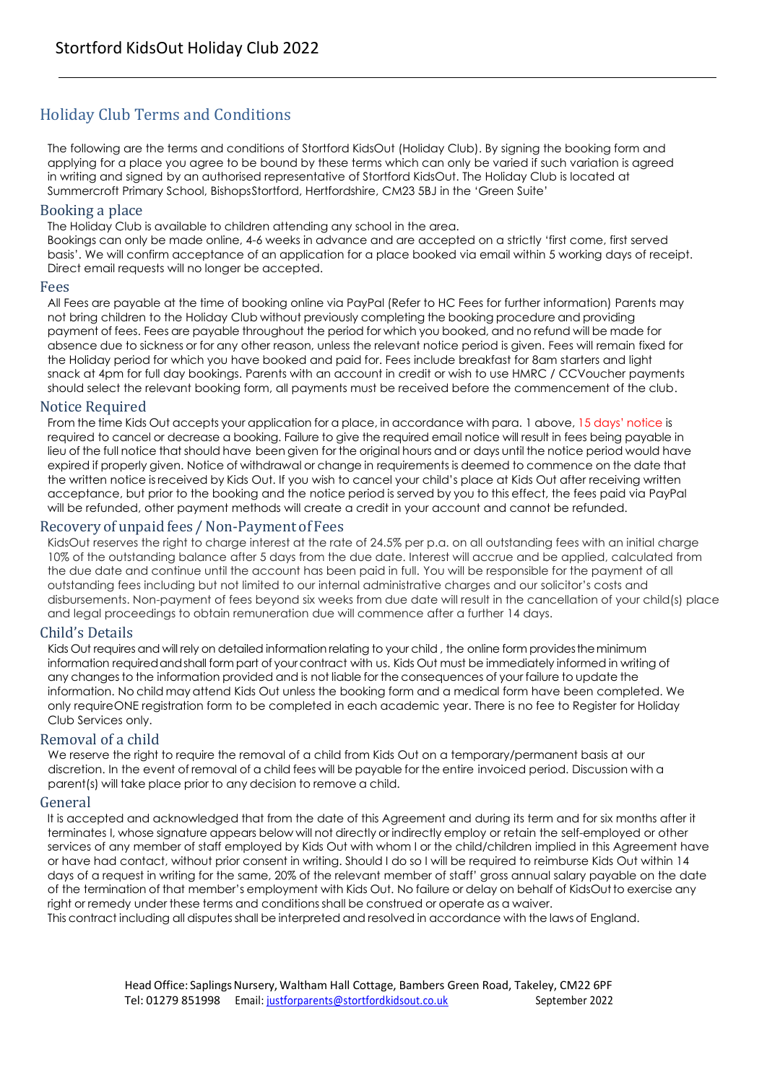# Holiday Club Terms and Conditions

The following are the terms and conditions of Stortford KidsOut (Holiday Club). By signing the booking form and applying for a place you agree to be bound by these terms which can only be varied if such variation is agreed in writing and signed by an authorised representative of Stortford KidsOut. The Holiday Club is located at Summercroft Primary School, BishopsStortford, Hertfordshire, CM23 5BJ in the 'Green Suite'

## Booking a place

The Holiday Club is available to children attending any school in the area.

Bookings can only be made online, 4-6 weeks in advance and are accepted on a strictly 'first come, first served basis'. We will confirm acceptance of an application for a place booked via email within 5 working days of receipt. Direct email requests will no longer be accepted.

#### Fees

All Fees are payable at the time of booking online via PayPal (Refer to HC Fees for further information) Parents may not bring children to the Holiday Club without previously completing the booking procedure and providing payment of fees. Fees are payable throughout the period for which you booked, and no refund will be made for absence due to sickness or for any other reason, unless the relevant notice period is given. Fees will remain fixed for the Holiday period for which you have booked and paid for. Fees include breakfast for 8am starters and light snack at 4pm for full day bookings. Parents with an account in credit or wish to use HMRC / CCVoucher payments should select the relevant booking form, all payments must be received before the commencement of the club.

## Notice Required

From the time Kids Out accepts your application for a place, in accordance with para. 1 above, 15 days' notice is required to cancel or decrease a booking. Failure to give the required email notice will result in fees being payable in lieu of the full notice that should have been given for the original hours and or days until the notice period would have expired if properly given. Notice of withdrawal or change in requirements is deemed to commence on the date that the written notice isreceived by Kids Out. If you wish to cancel your child's place at Kids Out after receiving written acceptance, but prior to the booking and the notice period is served by you to this effect, the fees paid via PayPal will be refunded, other payment methods will create a credit in your account and cannot be refunded.

## Recovery of unpaid fees / Non-Payment of Fees

KidsOut reserves the right to charge interest at the rate of 24.5% per p.a. on all outstanding fees with an initial charge 10% of the outstanding balance after 5 days from the due date. Interest will accrue and be applied, calculated from the due date and continue until the account has been paid in full. You will be responsible for the payment of all outstanding fees including but not limited to our internal administrative charges and our solicitor's costs and disbursements. Non-payment of fees beyond six weeks from due date will result in the cancellation of your child(s) place and legal proceedings to obtain remuneration due will commence after a further 14 days.

## Child's Details

Kids Out requires and will rely on detailed information relating to your child , the online form providestheminimum information requiredandshall form part of yourcontract with us. Kids Out must be immediately informed in writing of any changes to the information provided and is not liable for the consequences of your failure to update the information. No child may attend Kids Out unless the booking form and a medical form have been completed. We only requireONE registration form to be completed in each academic year. There is no fee to Register for Holiday Club Services only.

## Removal of a child

We reserve the right to require the removal of a child from Kids Out on a temporary/permanent basis at our discretion. In the event of removal of a child fees will be payable for the entire invoiced period. Discussion with a parent(s) will take place prior to any decision to remove a child.

## General

It is accepted and acknowledged that from the date of this Agreement and during its term and for six months after it terminates I, whose signature appears below will not directly or indirectly employ or retain the self-employed or other services of any member of staff employed by Kids Out with whom I or the child/children implied in this Agreement have or have had contact, without prior consent in writing. Should I do so I will be required to reimburse Kids Out within 14 days of a request in writing for the same, 20% of the relevant member of staff' gross annual salary payable on the date of the termination of that member's employment with Kids Out. No failure or delay on behalf of KidsOutto exercise any right or remedy under these terms and conditions shall be construed or operate as a waiver.

This contract including all disputesshall be interpreted and resolved in accordance with the laws of England.